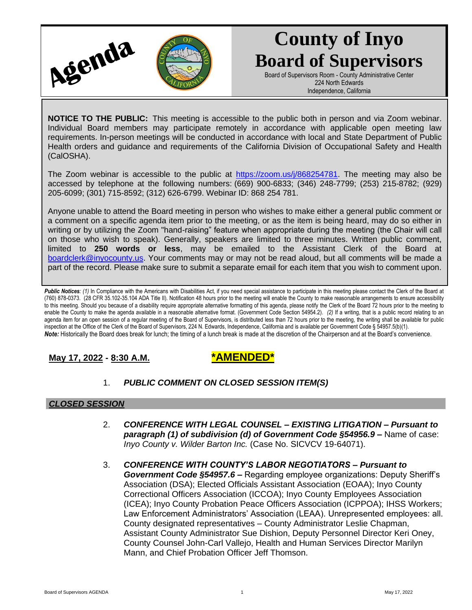

# **County of Inyo Board of Supervisors**

Board of Supervisors Room - County Administrative Center 224 North Edwards Independence, California

**NOTICE TO THE PUBLIC:** This meeting is accessible to the public both in person and via Zoom webinar. Individual Board members may participate remotely in accordance with applicable open meeting law requirements. In-person meetings will be conducted in accordance with local and State Department of Public Health orders and guidance and requirements of the California Division of Occupational Safety and Health (CalOSHA).

The Zoom webinar is accessible to the public at [https://zoom.us/j/868254781.](https://zoom.us/j/868254781) The meeting may also be accessed by telephone at the following numbers: (669) 900-6833; (346) 248-7799; (253) 215-8782; (929) 205-6099; (301) 715-8592; (312) 626-6799. Webinar ID: 868 254 781.

Anyone unable to attend the Board meeting in person who wishes to make either a general public comment or a comment on a specific agenda item prior to the meeting, or as the item is being heard, may do so either in writing or by utilizing the Zoom "hand-raising" feature when appropriate during the meeting (the Chair will call on those who wish to speak). Generally, speakers are limited to three minutes. Written public comment, limited to **250 words or less**, may be emailed to the Assistant Clerk of the Board at [boardclerk@inyocounty.us.](mailto:boardclerk@inyocounty.us) Your comments may or may not be read aloud, but all comments will be made a part of the record. Please make sure to submit a separate email for each item that you wish to comment upon.

Public Notices: (1) In Compliance with the Americans with Disabilities Act, if you need special assistance to participate in this meeting please contact the Clerk of the Board at (760) 878-0373. (28 CFR 35.102-35.104 ADA Title II). Notification 48 hours prior to the meeting will enable the County to make reasonable arrangements to ensure accessibility to this meeting. Should you because of a disability require appropriate alternative formatting of this agenda, please notify the Clerk of the Board 72 hours prior to the meeting to enable the County to make the agenda available in a reasonable alternative format. (Government Code Section 54954.2). *(2)* If a writing, that is a public record relating to an agenda item for an open session of a regular meeting of the Board of Supervisors, is distributed less than 72 hours prior to the meeting, the writing shall be available for public inspection at the Office of the Clerk of the Board of Supervisors, 224 N. Edwards, Independence, California and is available per Government Code § 54957.5(b)(1). *Note:* Historically the Board does break for lunch; the timing of a lunch break is made at the discretion of the Chairperson and at the Board's convenience.

**May 17, 2022 - 8:30 A.M. \*AMENDED\***

1. *PUBLIC COMMENT ON CLOSED SESSION ITEM(S)*

# *CLOSED SESSION*

- 2. *CONFERENCE WITH LEGAL COUNSEL – EXISTING LITIGATION – Pursuant to paragraph (1) of subdivision (d) of Government Code §54956.9 –* Name of case: *Inyo County v. Wilder Barton Inc.* (Case No. SICVCV 19-64071).
- 3. *CONFERENCE WITH COUNTY'S LABOR NEGOTIATORS – Pursuant to Government Code §54957.6 –* Regarding employee organizations: Deputy Sheriff's Association (DSA); Elected Officials Assistant Association (EOAA); Inyo County Correctional Officers Association (ICCOA); Inyo County Employees Association (ICEA); Inyo County Probation Peace Officers Association (ICPPOA); IHSS Workers; Law Enforcement Administrators' Association (LEAA). Unrepresented employees: all. County designated representatives – County Administrator Leslie Chapman, Assistant County Administrator Sue Dishion, Deputy Personnel Director Keri Oney, County Counsel John-Carl Vallejo, Health and Human Services Director Marilyn Mann, and Chief Probation Officer Jeff Thomson.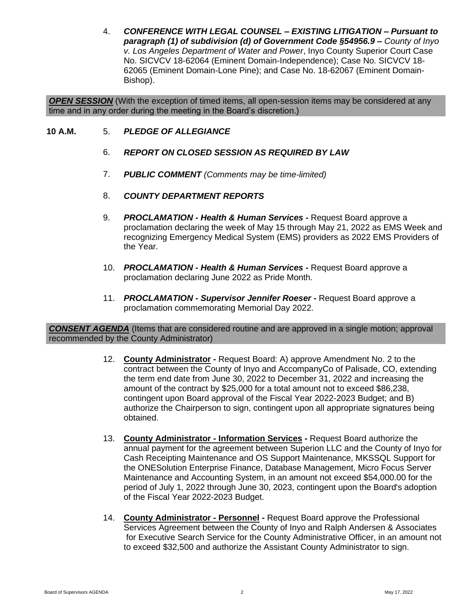4. *CONFERENCE WITH LEGAL COUNSEL – EXISTING LITIGATION – Pursuant to paragraph (1) of subdivision (d) of Government Code §54956.9 – County of Inyo v. Los Angeles Department of Water and Power*, Inyo County Superior Court Case No. SICVCV 18-62064 (Eminent Domain-Independence); Case No. SICVCV 18- 62065 (Eminent Domain-Lone Pine); and Case No. 18-62067 (Eminent Domain-Bishop).

**OPEN SESSION** (With the exception of timed items, all open-session items may be considered at any time and in any order during the meeting in the Board's discretion.)

- **10 A.M.** 5. *PLEDGE OF ALLEGIANCE*
	- 6. *REPORT ON CLOSED SESSION AS REQUIRED BY LAW*
	- 7. *PUBLIC COMMENT (Comments may be time-limited)*
	- 8. *COUNTY DEPARTMENT REPORTS*
	- 9. *PROCLAMATION - Health & Human Services -* Request Board approve a proclamation declaring the week of May 15 through May 21, 2022 as EMS Week and recognizing Emergency Medical System (EMS) providers as 2022 EMS Providers of the Year.
	- 10. *PROCLAMATION - Health & Human Services -* Request Board approve a proclamation declaring June 2022 as Pride Month.
	- 11. *PROCLAMATION - Supervisor Jennifer Roeser -* Request Board approve a proclamation commemorating Memorial Day 2022.

*CONSENT AGENDA* (Items that are considered routine and are approved in a single motion; approval recommended by the County Administrator)

- 12. **County Administrator -** Request Board: A) approve Amendment No. 2 to the contract between the County of Inyo and AccompanyCo of Palisade, CO, extending the term end date from June 30, 2022 to December 31, 2022 and increasing the amount of the contract by \$25,000 for a total amount not to exceed \$86,238, contingent upon Board approval of the Fiscal Year 2022-2023 Budget; and B) authorize the Chairperson to sign, contingent upon all appropriate signatures being obtained.
- 13. **County Administrator - Information Services -** Request Board authorize the annual payment for the agreement between Superion LLC and the County of Inyo for Cash Receipting Maintenance and OS Support Maintenance, MKSSQL Support for the ONESolution Enterprise Finance, Database Management, Micro Focus Server Maintenance and Accounting System, in an amount not exceed \$54,000.00 for the period of July 1, 2022 through June 30, 2023, contingent upon the Board's adoption of the Fiscal Year 2022-2023 Budget.
- 14. **County Administrator - Personnel -** Request Board approve the Professional Services Agreement between the County of Inyo and Ralph Andersen & Associates for Executive Search Service for the County Administrative Officer, in an amount not to exceed \$32,500 and authorize the Assistant County Administrator to sign.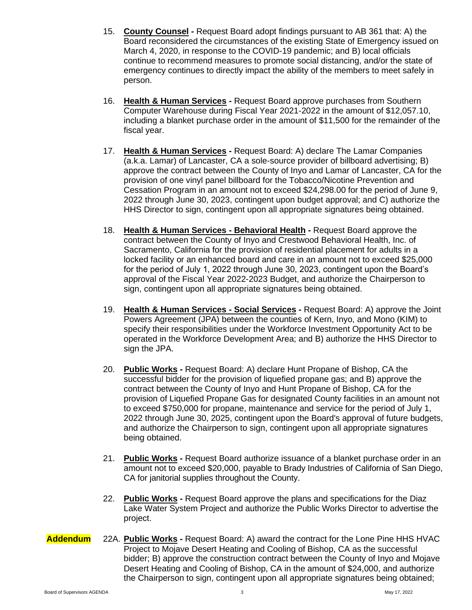- 15. **County Counsel -** Request Board adopt findings pursuant to AB 361 that: A) the Board reconsidered the circumstances of the existing State of Emergency issued on March 4, 2020, in response to the COVID-19 pandemic; and B) local officials continue to recommend measures to promote social distancing, and/or the state of emergency continues to directly impact the ability of the members to meet safely in person.
- 16. **Health & Human Services -** Request Board approve purchases from Southern Computer Warehouse during Fiscal Year 2021-2022 in the amount of \$12,057.10, including a blanket purchase order in the amount of \$11,500 for the remainder of the fiscal year.
- 17. **Health & Human Services -** Request Board: A) declare The Lamar Companies (a.k.a. Lamar) of Lancaster, CA a sole-source provider of billboard advertising; B) approve the contract between the County of Inyo and Lamar of Lancaster, CA for the provision of one vinyl panel billboard for the Tobacco/Nicotine Prevention and Cessation Program in an amount not to exceed \$24,298.00 for the period of June 9, 2022 through June 30, 2023, contingent upon budget approval; and C) authorize the HHS Director to sign, contingent upon all appropriate signatures being obtained.
- 18. **Health & Human Services - Behavioral Health -** Request Board approve the contract between the County of Inyo and Crestwood Behavioral Health, Inc. of Sacramento, California for the provision of residential placement for adults in a locked facility or an enhanced board and care in an amount not to exceed \$25,000 for the period of July 1, 2022 through June 30, 2023, contingent upon the Board's approval of the Fiscal Year 2022-2023 Budget, and authorize the Chairperson to sign, contingent upon all appropriate signatures being obtained.
- 19. **Health & Human Services - Social Services -** Request Board: A) approve the Joint Powers Agreement (JPA) between the counties of Kern, Inyo, and Mono (KIM) to specify their responsibilities under the Workforce Investment Opportunity Act to be operated in the Workforce Development Area; and B) authorize the HHS Director to sign the JPA.
- 20. **Public Works -** Request Board: A) declare Hunt Propane of Bishop, CA the successful bidder for the provision of liquefied propane gas; and B) approve the contract between the County of Inyo and Hunt Propane of Bishop, CA for the provision of Liquefied Propane Gas for designated County facilities in an amount not to exceed \$750,000 for propane, maintenance and service for the period of July 1, 2022 through June 30, 2025, contingent upon the Board's approval of future budgets, and authorize the Chairperson to sign, contingent upon all appropriate signatures being obtained.
- 21. **Public Works -** Request Board authorize issuance of a blanket purchase order in an amount not to exceed \$20,000, payable to Brady Industries of California of San Diego, CA for janitorial supplies throughout the County.
- 22. **Public Works -** Request Board approve the plans and specifications for the Diaz Lake Water System Project and authorize the Public Works Director to advertise the project.
- **Addendum** 22A. **Public Works -** Request Board: A) award the contract for the Lone Pine HHS HVAC Project to Mojave Desert Heating and Cooling of Bishop, CA as the successful bidder; B) approve the construction contract between the County of Inyo and Mojave Desert Heating and Cooling of Bishop, CA in the amount of \$24,000, and authorize the Chairperson to sign, contingent upon all appropriate signatures being obtained;